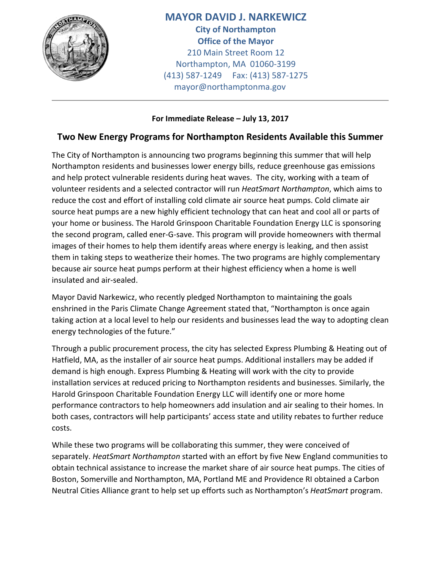

**MAYOR DAVID J. NARKEWICZ City of Northampton Office of the Mayor** 210 Main Street Room 12 Northampton, MA 01060-3199 (413) 587-1249 Fax: (413) 587-1275 mayor@northamptonma.gov

## **For Immediate Release – July 13, 2017**

## **Two New Energy Programs for Northampton Residents Available this Summer**

The City of Northampton is announcing two programs beginning this summer that will help Northampton residents and businesses lower energy bills, reduce greenhouse gas emissions and help protect vulnerable residents during heat waves. The city, working with a team of volunteer residents and a selected contractor will run *HeatSmart Northampton*, which aims to reduce the cost and effort of installing cold climate air source heat pumps. Cold climate air source heat pumps are a new highly efficient technology that can heat and cool all or parts of your home or business. The Harold Grinspoon Charitable Foundation Energy LLC is sponsoring the second program, called ener-G-save. This program will provide homeowners with thermal images of their homes to help them identify areas where energy is leaking, and then assist them in taking steps to weatherize their homes. The two programs are highly complementary because air source heat pumps perform at their highest efficiency when a home is well insulated and air-sealed.

Mayor David Narkewicz, who recently pledged Northampton to maintaining the goals enshrined in the Paris Climate Change Agreement stated that, "Northampton is once again taking action at a local level to help our residents and businesses lead the way to adopting clean energy technologies of the future."

Through a public procurement process, the city has selected Express Plumbing & Heating out of Hatfield, MA, as the installer of air source heat pumps. Additional installers may be added if demand is high enough. Express Plumbing & Heating will work with the city to provide installation services at reduced pricing to Northampton residents and businesses. Similarly, the Harold Grinspoon Charitable Foundation Energy LLC will identify one or more home performance contractors to help homeowners add insulation and air sealing to their homes. In both cases, contractors will help participants' access state and utility rebates to further reduce costs.

While these two programs will be collaborating this summer, they were conceived of separately. *HeatSmart Northampton* started with an effort by five New England communities to obtain technical assistance to increase the market share of air source heat pumps. The cities of Boston, Somerville and Northampton, MA, Portland ME and Providence RI obtained a Carbon Neutral Cities Alliance grant to help set up efforts such as Northampton's *HeatSmart* program.